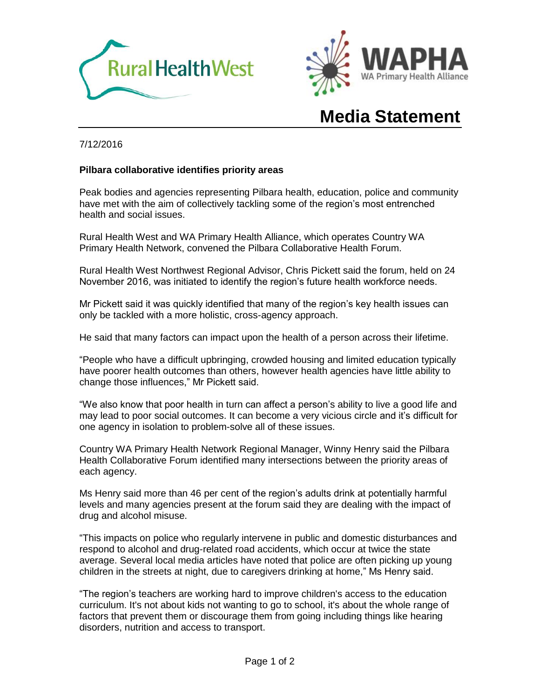



# **Media Statement**

#### 7/12/2016

#### **Pilbara collaborative identifies priority areas**

Peak bodies and agencies representing Pilbara health, education, police and community have met with the aim of collectively tackling some of the region's most entrenched health and social issues.

Rural Health West and WA Primary Health Alliance, which operates Country WA Primary Health Network, convened the Pilbara Collaborative Health Forum.

Rural Health West Northwest Regional Advisor, Chris Pickett said the forum, held on 24 November 2016, was initiated to identify the region's future health workforce needs.

Mr Pickett said it was quickly identified that many of the region's key health issues can only be tackled with a more holistic, cross-agency approach.

He said that many factors can impact upon the health of a person across their lifetime.

"People who have a difficult upbringing, crowded housing and limited education typically have poorer health outcomes than others, however health agencies have little ability to change those influences," Mr Pickett said.

"We also know that poor health in turn can affect a person's ability to live a good life and may lead to poor social outcomes. It can become a very vicious circle and it's difficult for one agency in isolation to problem-solve all of these issues.

Country WA Primary Health Network Regional Manager, Winny Henry said the Pilbara Health Collaborative Forum identified many intersections between the priority areas of each agency.

Ms Henry said more than 46 per cent of the region's adults drink at potentially harmful levels and many agencies present at the forum said they are dealing with the impact of drug and alcohol misuse.

"This impacts on police who regularly intervene in public and domestic disturbances and respond to alcohol and drug-related road accidents, which occur at twice the state average. Several local media articles have noted that police are often picking up young children in the streets at night, due to caregivers drinking at home," Ms Henry said.

"The region's teachers are working hard to improve children's access to the education curriculum. It's not about kids not wanting to go to school, it's about the whole range of factors that prevent them or discourage them from going including things like hearing disorders, nutrition and access to transport.